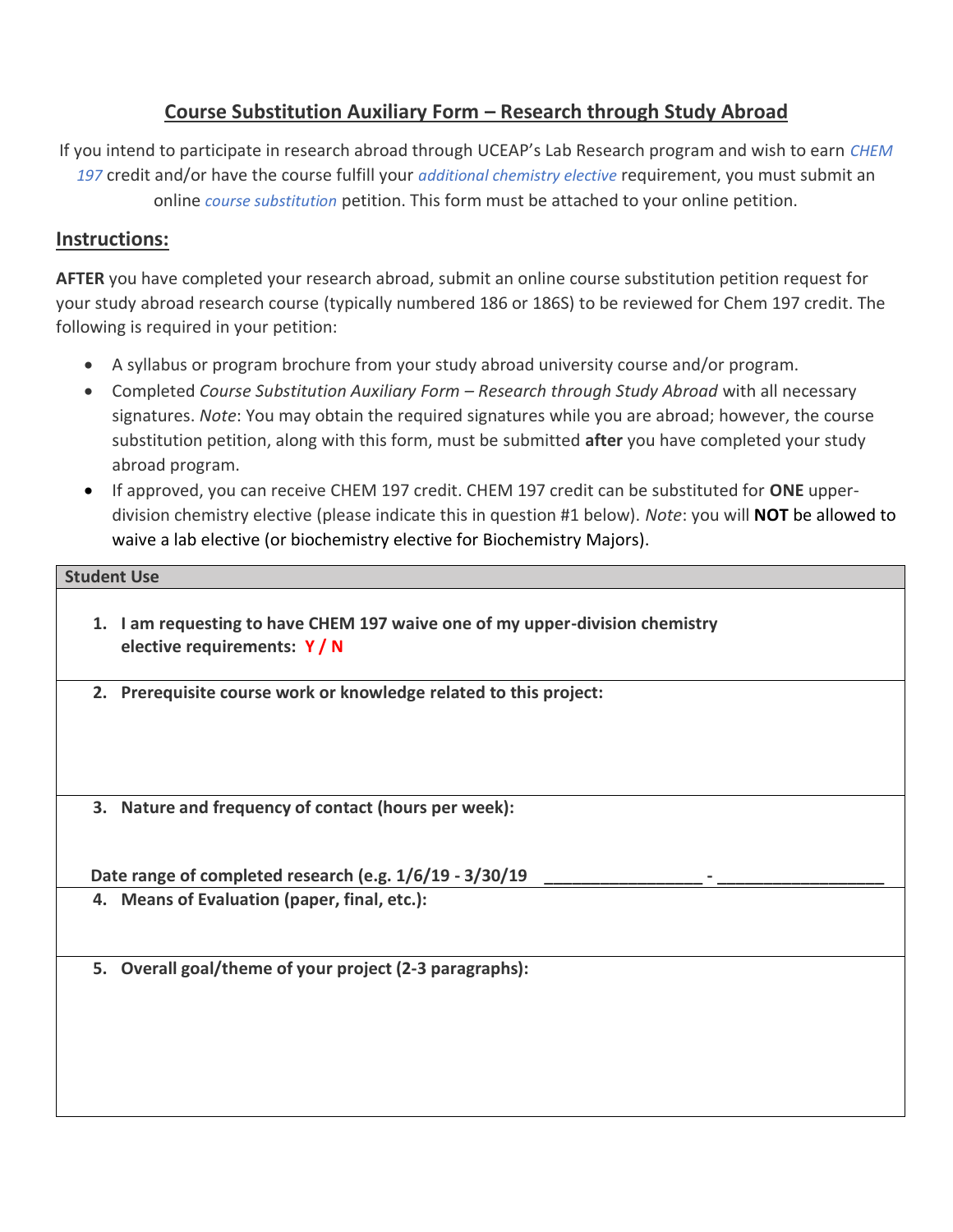## **Course Substitution Auxiliary Form – Research through Study Abroad**

If you intend to participate in research abroad through UCEAP's Lab Research program and wish to earn *[CHEM](https://ucsd.edu/catalog/courses/CHEM.html)  [197](https://ucsd.edu/catalog/courses/CHEM.html)* credit and/or have the course fulfill your *[additional chemistry elective](https://chemistry.ucsd.edu/undergraduate/courses/petition-info.html#CHEM-199-for-Elective-Credit)* requirement, you must submit an online *[course substitution](https://chemistry.ucsd.edu/undergraduate/courses/petition-info.html#Course-Substitution)* petition. This form must be attached to your online petition.

## **Instructions:**

**AFTER** you have completed your research abroad, submit an online course substitution petition request for your study abroad research course (typically numbered 186 or 186S) to be reviewed for Chem 197 credit. The following is required in your petition:

- A syllabus or program brochure from your study abroad university course and/or program.
- Completed *Course Substitution Auxiliary Form – Research through Study Abroad* with all necessary signatures. *Note*: You may obtain the required signatures while you are abroad; however, the course substitution petition, along with this form, must be submitted **after** you have completed your study abroad program.
- If approved, you can receive CHEM 197 credit. CHEM 197 credit can be substituted for **ONE** upperdivision chemistry elective (please indicate this in question #1 below). *Note*: you will **NOT** be allowed to waive a lab elective (or biochemistry elective for Biochemistry Majors).

| <b>Student Use</b>                                                                                           |  |
|--------------------------------------------------------------------------------------------------------------|--|
| 1. I am requesting to have CHEM 197 waive one of my upper-division chemistry<br>elective requirements: $Y/N$ |  |
| 2. Prerequisite course work or knowledge related to this project:                                            |  |
|                                                                                                              |  |
| 3. Nature and frequency of contact (hours per week):                                                         |  |

Date range of completed research (e.g.  $1/6/19 - 3/30/19$ **4. Means of Evaluation (paper, final, etc.):**

**5. Overall goal/theme of your project (2-3 paragraphs):**